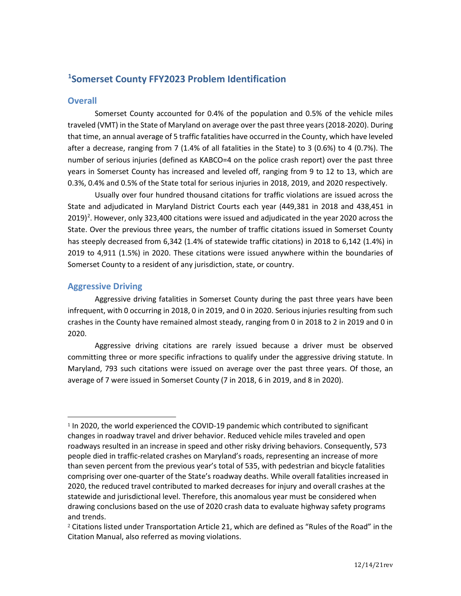# **[1](#page-0-0) Somerset County FFY2023 Problem Identification**

# **Overall**

Somerset County accounted for 0.4% of the population and 0.5% of the vehicle miles traveled (VMT) in the State of Maryland on average over the past three years (2018-2020). During that time, an annual average of 5 traffic fatalities have occurred in the County, which have leveled after a decrease, ranging from 7 (1.4% of all fatalities in the State) to 3 (0.6%) to 4 (0.7%). The number of serious injuries (defined as KABCO=4 on the police crash report) over the past three years in Somerset County has increased and leveled off, ranging from 9 to 12 to 13, which are 0.3%, 0.4% and 0.5% of the State total for serious injuries in 2018, 2019, and 2020 respectively.

Usually over four hundred thousand citations for traffic violations are issued across the State and adjudicated in Maryland District Courts each year (449,381 in 2018 and 438,451 in [2](#page-0-1)019)<sup>2</sup>. However, only 323,400 citations were issued and adjudicated in the year 2020 across the State. Over the previous three years, the number of traffic citations issued in Somerset County has steeply decreased from 6,342 (1.4% of statewide traffic citations) in 2018 to 6,142 (1.4%) in 2019 to 4,911 (1.5%) in 2020. These citations were issued anywhere within the boundaries of Somerset County to a resident of any jurisdiction, state, or country.

# **Aggressive Driving**

Aggressive driving fatalities in Somerset County during the past three years have been infrequent, with 0 occurring in 2018, 0 in 2019, and 0 in 2020. Serious injuries resulting from such crashes in the County have remained almost steady, ranging from 0 in 2018 to 2 in 2019 and 0 in 2020.

Aggressive driving citations are rarely issued because a driver must be observed committing three or more specific infractions to qualify under the aggressive driving statute. In Maryland, 793 such citations were issued on average over the past three years. Of those, an average of 7 were issued in Somerset County (7 in 2018, 6 in 2019, and 8 in 2020).

<span id="page-0-0"></span><sup>&</sup>lt;sup>1</sup> In 2020, the world experienced the COVID-19 pandemic which contributed to significant changes in roadway travel and driver behavior. Reduced vehicle miles traveled and open roadways resulted in an increase in speed and other risky driving behaviors. Consequently, 573 people died in traffic-related crashes on Maryland's roads, representing an increase of more than seven percent from the previous year's total of 535, with pedestrian and bicycle fatalities comprising over one-quarter of the State's roadway deaths. While overall fatalities increased in 2020, the reduced travel contributed to marked decreases for injury and overall crashes at the statewide and jurisdictional level. Therefore, this anomalous year must be considered when drawing conclusions based on the use of 2020 crash data to evaluate highway safety programs and trends.

<span id="page-0-1"></span> $2$  Citations listed under Transportation Article 21, which are defined as "Rules of the Road" in the Citation Manual, also referred as moving violations.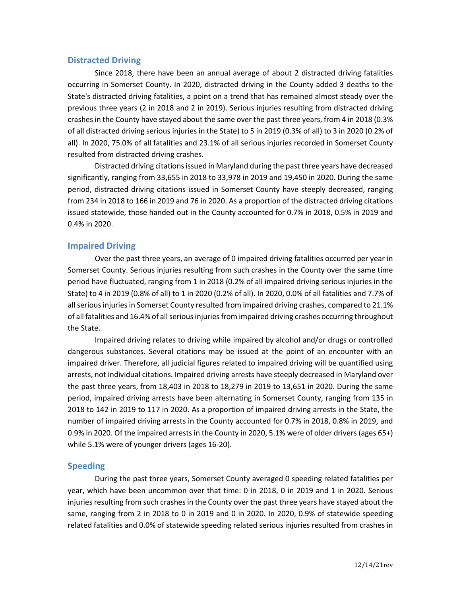# **Distracted Driving**

Since 2018, there have been an annual average of about 2 distracted driving fatalities occurring in Somerset County. In 2020, distracted driving in the County added 3 deaths to the State's distracted driving fatalities, a point on a trend that has remained almost steady over the previous three years (2 in 2018 and 2 in 2019). Serious injuries resulting from distracted driving crashes in the County have stayed about the same over the past three years, from 4 in 2018 (0.3% of all distracted driving serious injuries in the State) to 5 in 2019 (0.3% of all) to 3 in 2020 (0.2% of all). In 2020, 75.0% of all fatalities and 23.1% of all serious injuries recorded in Somerset County resulted from distracted driving crashes.

Distracted driving citations issued in Maryland during the past three years have decreased significantly, ranging from 33,655 in 2018 to 33,978 in 2019 and 19,450 in 2020. During the same period, distracted driving citations issued in Somerset County have steeply decreased, ranging from 234 in 2018 to 166 in 2019 and 76 in 2020. As a proportion of the distracted driving citations issued statewide, those handed out in the County accounted for 0.7% in 2018, 0.5% in 2019 and 0.4% in 2020.

# **Impaired Driving**

Over the past three years, an average of 0 impaired driving fatalities occurred per year in Somerset County. Serious injuries resulting from such crashes in the County over the same time period have fluctuated, ranging from 1 in 2018 (0.2% of all impaired driving serious injuries in the State) to 4 in 2019 (0.8% of all) to 1 in 2020 (0.2% of all). In 2020, 0.0% of all fatalities and 7.7% of all serious injuries in Somerset County resulted from impaired driving crashes, compared to 21.1% of all fatalities and 16.4% of all serious injuries from impaired driving crashes occurring throughout the State.

Impaired driving relates to driving while impaired by alcohol and/or drugs or controlled dangerous substances. Several citations may be issued at the point of an encounter with an impaired driver. Therefore, all judicial figures related to impaired driving will be quantified using arrests, not individual citations. Impaired driving arrests have steeply decreased in Maryland over the past three years, from 18,403 in 2018 to 18,279 in 2019 to 13,651 in 2020. During the same period, impaired driving arrests have been alternating in Somerset County, ranging from 135 in 2018 to 142 in 2019 to 117 in 2020. As a proportion of impaired driving arrests in the State, the number of impaired driving arrests in the County accounted for 0.7% in 2018, 0.8% in 2019, and 0.9% in 2020. Of the impaired arrests in the County in 2020, 5.1% were of older drivers (ages 65+) while 5.1% were of younger drivers (ages 16-20).

# **Speeding**

During the past three years, Somerset County averaged 0 speeding related fatalities per year, which have been uncommon over that time: 0 in 2018, 0 in 2019 and 1 in 2020. Serious injuries resulting from such crashes in the County over the past three years have stayed about the same, ranging from 2 in 2018 to 0 in 2019 and 0 in 2020. In 2020, 0.9% of statewide speeding related fatalities and 0.0% of statewide speeding related serious injuries resulted from crashes in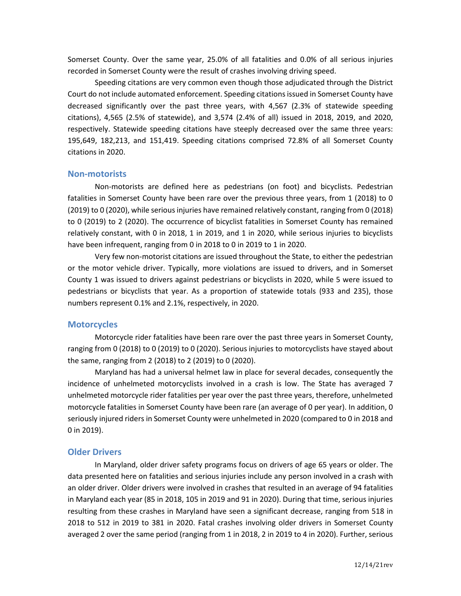Somerset County. Over the same year, 25.0% of all fatalities and 0.0% of all serious injuries recorded in Somerset County were the result of crashes involving driving speed.

Speeding citations are very common even though those adjudicated through the District Court do not include automated enforcement. Speeding citations issued in Somerset County have decreased significantly over the past three years, with 4,567 (2.3% of statewide speeding citations), 4,565 (2.5% of statewide), and 3,574 (2.4% of all) issued in 2018, 2019, and 2020, respectively. Statewide speeding citations have steeply decreased over the same three years: 195,649, 182,213, and 151,419. Speeding citations comprised 72.8% of all Somerset County citations in 2020.

#### **Non-motorists**

Non-motorists are defined here as pedestrians (on foot) and bicyclists. Pedestrian fatalities in Somerset County have been rare over the previous three years, from 1 (2018) to 0 (2019) to 0 (2020), while serious injuries have remained relatively constant, ranging from 0 (2018) to 0 (2019) to 2 (2020). The occurrence of bicyclist fatalities in Somerset County has remained relatively constant, with 0 in 2018, 1 in 2019, and 1 in 2020, while serious injuries to bicyclists have been infrequent, ranging from 0 in 2018 to 0 in 2019 to 1 in 2020.

Very few non-motorist citations are issued throughout the State, to either the pedestrian or the motor vehicle driver. Typically, more violations are issued to drivers, and in Somerset County 1 was issued to drivers against pedestrians or bicyclists in 2020, while 5 were issued to pedestrians or bicyclists that year. As a proportion of statewide totals (933 and 235), those numbers represent 0.1% and 2.1%, respectively, in 2020.

# **Motorcycles**

Motorcycle rider fatalities have been rare over the past three years in Somerset County, ranging from 0 (2018) to 0 (2019) to 0 (2020). Serious injuries to motorcyclists have stayed about the same, ranging from 2 (2018) to 2 (2019) to 0 (2020).

Maryland has had a universal helmet law in place for several decades, consequently the incidence of unhelmeted motorcyclists involved in a crash is low. The State has averaged 7 unhelmeted motorcycle rider fatalities per year over the past three years, therefore, unhelmeted motorcycle fatalities in Somerset County have been rare (an average of 0 per year). In addition, 0 seriously injured riders in Somerset County were unhelmeted in 2020 (compared to 0 in 2018 and 0 in 2019).

#### **Older Drivers**

In Maryland, older driver safety programs focus on drivers of age 65 years or older. The data presented here on fatalities and serious injuries include any person involved in a crash with an older driver. Older drivers were involved in crashes that resulted in an average of 94 fatalities in Maryland each year (85 in 2018, 105 in 2019 and 91 in 2020). During that time, serious injuries resulting from these crashes in Maryland have seen a significant decrease, ranging from 518 in 2018 to 512 in 2019 to 381 in 2020. Fatal crashes involving older drivers in Somerset County averaged 2 over the same period (ranging from 1 in 2018, 2 in 2019 to 4 in 2020). Further, serious